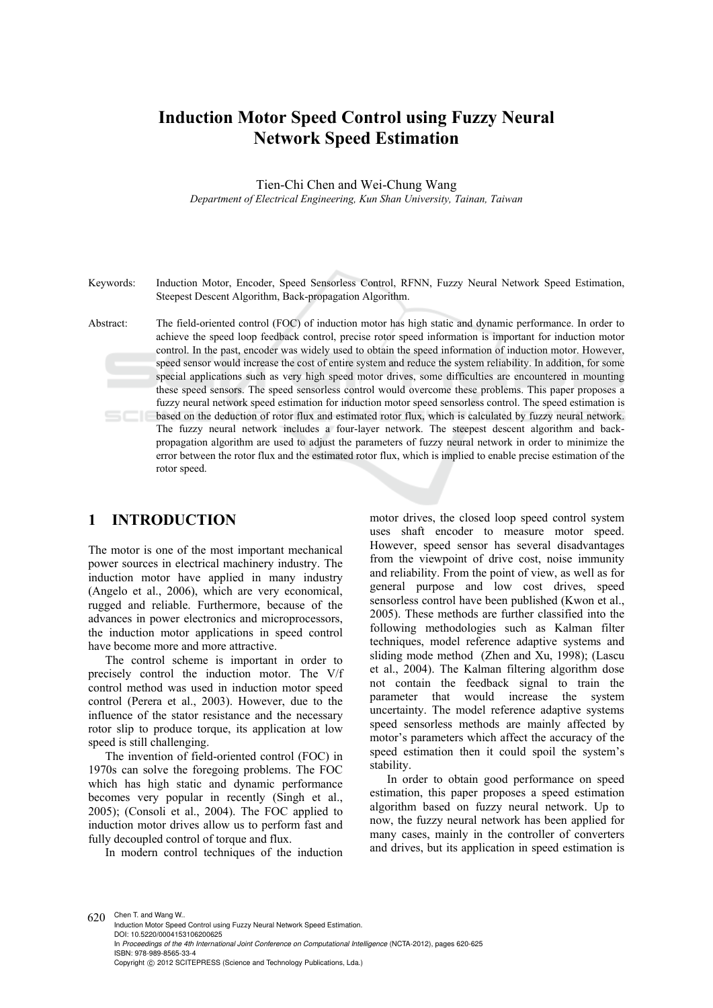# **Induction Motor Speed Control using Fuzzy Neural Network Speed Estimation**

Tien-Chi Chen and Wei-Chung Wang

*Department of Electrical Engineering, Kun Shan University, Tainan, Taiwan* 

Keywords: Induction Motor, Encoder, Speed Sensorless Control, RFNN, Fuzzy Neural Network Speed Estimation, Steepest Descent Algorithm, Back-propagation Algorithm.

Abstract: The field-oriented control (FOC) of induction motor has high static and dynamic performance. In order to achieve the speed loop feedback control, precise rotor speed information is important for induction motor control. In the past, encoder was widely used to obtain the speed information of induction motor. However, speed sensor would increase the cost of entire system and reduce the system reliability. In addition, for some special applications such as very high speed motor drives, some difficulties are encountered in mounting these speed sensors. The speed sensorless control would overcome these problems. This paper proposes a fuzzy neural network speed estimation for induction motor speed sensorless control. The speed estimation is based on the deduction of rotor flux and estimated rotor flux, which is calculated by fuzzy neural network. The fuzzy neural network includes a four-layer network. The steepest descent algorithm and backpropagation algorithm are used to adjust the parameters of fuzzy neural network in order to minimize the error between the rotor flux and the estimated rotor flux, which is implied to enable precise estimation of the rotor speed.

## **1 INTRODUCTION**

The motor is one of the most important mechanical power sources in electrical machinery industry. The induction motor have applied in many industry (Angelo et al., 2006), which are very economical, rugged and reliable. Furthermore, because of the advances in power electronics and microprocessors, the induction motor applications in speed control have become more and more attractive.

The control scheme is important in order to precisely control the induction motor. The V/f control method was used in induction motor speed control (Perera et al., 2003). However, due to the influence of the stator resistance and the necessary rotor slip to produce torque, its application at low speed is still challenging.

The invention of field-oriented control (FOC) in 1970s can solve the foregoing problems. The FOC which has high static and dynamic performance becomes very popular in recently (Singh et al., 2005); (Consoli et al., 2004). The FOC applied to induction motor drives allow us to perform fast and fully decoupled control of torque and flux.

In modern control techniques of the induction

motor drives, the closed loop speed control system uses shaft encoder to measure motor speed. However, speed sensor has several disadvantages from the viewpoint of drive cost, noise immunity and reliability. From the point of view, as well as for general purpose and low cost drives, speed sensorless control have been published (Kwon et al., 2005). These methods are further classified into the following methodologies such as Kalman filter techniques, model reference adaptive systems and sliding mode method (Zhen and Xu, 1998); (Lascu et al., 2004). The Kalman filtering algorithm dose not contain the feedback signal to train the parameter that would increase the system uncertainty. The model reference adaptive systems speed sensorless methods are mainly affected by motor's parameters which affect the accuracy of the speed estimation then it could spoil the system's stability.

In order to obtain good performance on speed estimation, this paper proposes a speed estimation algorithm based on fuzzy neural network. Up to now, the fuzzy neural network has been applied for many cases, mainly in the controller of converters and drives, but its application in speed estimation is

620 Chen T. and Wang W.. Induction Motor Speed Control using Fuzzy Neural Network Speed Estimation. DOI: 10.5220/0004153106200625 In *Proceedings of the 4th International Joint Conference on Computational Intelligence* (NCTA-2012), pages 620-625 ISBN: 978-989-8565-33-4 Copyright © 2012 SCITEPRESS (Science and Technology Publications, Lda.)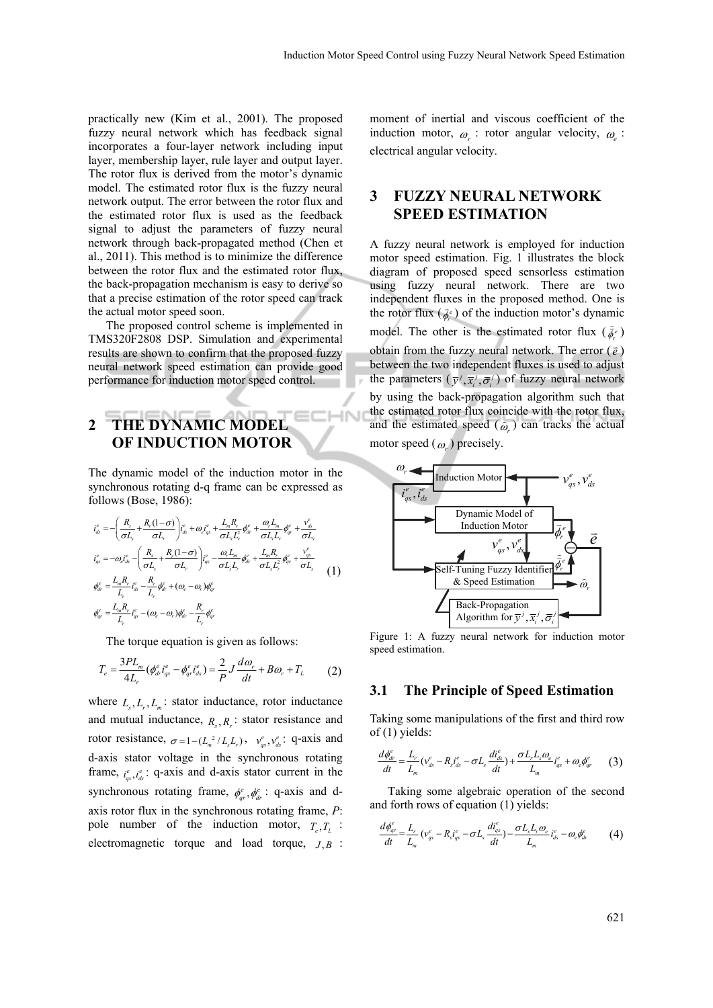practically new (Kim et al., 2001). The proposed fuzzy neural network which has feedback signal incorporates a four-layer network including input layer, membership layer, rule layer and output layer. The rotor flux is derived from the motor's dynamic model. The estimated rotor flux is the fuzzy neural network output. The error between the rotor flux and the estimated rotor flux is used as the feedback signal to adjust the parameters of fuzzy neural network through back-propagated method (Chen et al., 2011). This method is to minimize the difference between the rotor flux and the estimated rotor flux, the back-propagation mechanism is easy to derive so that a precise estimation of the rotor speed can track the actual motor speed soon.

The proposed control scheme is implemented in TMS320F2808 DSP. Simulation and experimental results are shown to confirm that the proposed fuzzy neural network speed estimation can provide good performance for induction motor speed control.

# **2 THE DYNAMIC MODEL OF INDUCTION MOTOR**

The dynamic model of the induction motor in the synchronous rotating d-q frame can be expressed as follows (Bose, 1986):

$$
\begin{split}\ni_{ds}^{e} & = -\left(\frac{R_{s}}{\sigma L_{s}} + \frac{R_{r}(1-\sigma)}{\sigma L_{r}}\right) i_{ds}^{e} + \omega_{e} i_{qs}^{e} + \frac{L_{m} R_{r}}{\sigma L_{s} L_{r}^{2}} \phi_{dr}^{e} + \frac{\omega_{e} L_{m}}{\sigma L_{s} L_{r}} \phi_{qr}^{e} + \frac{v_{ds}^{e}}{\sigma L_{s}} \\
i_{qs}^{e} & = -\omega_{e} i_{ds}^{e} - \left(\frac{R_{s}}{\sigma L_{s}} + \frac{R_{r}(1-\sigma)}{\sigma L_{r}}\right) i_{qs}^{e} - \frac{\omega_{r} L_{m}}{\sigma L_{s} L_{r}} \phi_{dr}^{e} + \frac{L_{m} R_{r}}{\sigma L_{s} L_{r}^{2}} \phi_{qr}^{e} + \frac{v_{gs}^{e}}{\sigma L_{s}} \\
\phi_{dr}^{e} & = \frac{L_{m} R_{r}}{L_{r}} i_{ds}^{e} - \frac{R_{r}}{L_{r}} \phi_{dr}^{e} + (\omega_{e} - \omega_{r}) \phi_{qr}^{e} \\
\phi_{qr}^{e} & = \frac{L_{m} R_{r}}{L_{r}} i_{qs}^{e} - (\omega_{e} - \omega_{r}) \phi_{dr}^{e} - \frac{R_{r}}{L_{r}} \phi_{qr}^{e} \\
\end{split}
$$
\n(1)

The torque equation is given as follows:

$$
T_e = \frac{3PL_m}{4L_r} \left(\phi_{dr}^e i_{qs}^e - \phi_{qr}^e i_{ds}^e\right) = \frac{2}{P} J \frac{d\omega_r}{dt} + B\omega_r + T_L \tag{2}
$$

where  $L_{s}$ ,  $L_{r}$ ,  $L_{m}$ : stator inductance, rotor inductance and mutual inductance,  $R_s$ ,  $R_r$ : stator resistance and rotor resistance,  $\sigma = 1 - (L_m^2 / L_s L_r)$ ,  $v_{gs}^e, v_{ds}^e$ : q-axis and d-axis stator voltage in the synchronous rotating frame,  $i_{qs}^e$ ,  $i_{ds}^e$ : q-axis and d-axis stator current in the synchronous rotating frame,  $\phi_{ar}^e$ ,  $\phi_{dr}^e$ : q-axis and daxis rotor flux in the synchronous rotating frame, *P*: pole number of the induction motor,  $T_{e}$ ,  $T_{i}$ : electromagnetic torque and load torque,  $J \cdot B$ :

moment of inertial and viscous coefficient of the induction motor,  $\omega_r$ : rotor angular velocity,  $\omega_s$ : electrical angular velocity.

# **3 FUZZY NEURAL NETWORK SPEED ESTIMATION**

A fuzzy neural network is employed for induction motor speed estimation. Fig. 1 illustrates the block diagram of proposed speed sensorless estimation using fuzzy neural network. There are two independent fluxes in the proposed method. One is the rotor flux ( $\bar{\phi}_r^e$ ) of the induction motor's dynamic model. The other is the estimated rotor flux  $(\hat{\phi}_r^e)$ obtain from the fuzzy neural network. The error  $(\bar{e})$ between the two independent fluxes is used to adjust the parameters  $(\bar{y}^j, \bar{x}_i^j, \bar{\sigma}_i^j)$  of fuzzy neural network by using the back-propagation algorithm such that the estimated rotor flux coincide with the rotor flux, and the estimated speed  $(\hat{\omega}_r)$  can tracks the actual

motor speed  $(\omega_{r})$  precisely.



Figure 1: A fuzzy neural network for induction motor speed estimation.

### **3.1 The Principle of Speed Estimation**

Taking some manipulations of the first and third row of (1) yields:

$$
\frac{d\phi_{dr}^e}{dt} = \frac{L_r}{L_m} (v_{ds}^e - R_s i_{ds}^e - \sigma L_s \frac{di_{ds}^e}{dt}) + \frac{\sigma L_r L_s \omega_e}{L_m} i_{qs}^e + \omega_e \phi_{qr}^e \qquad (3)
$$

Taking some algebraic operation of the second and forth rows of equation (1) yields:

$$
\frac{d\phi_{qr}^e}{dt} = \frac{L_r}{L_m} \left( v_{qs}^e - R_s i_{qs}^e - \sigma L_s \frac{di_{qs}^e}{dt} \right) - \frac{\sigma L_s L_r \omega_e}{L_m} i_{ds}^e - \omega_e \phi_{dr}^e \tag{4}
$$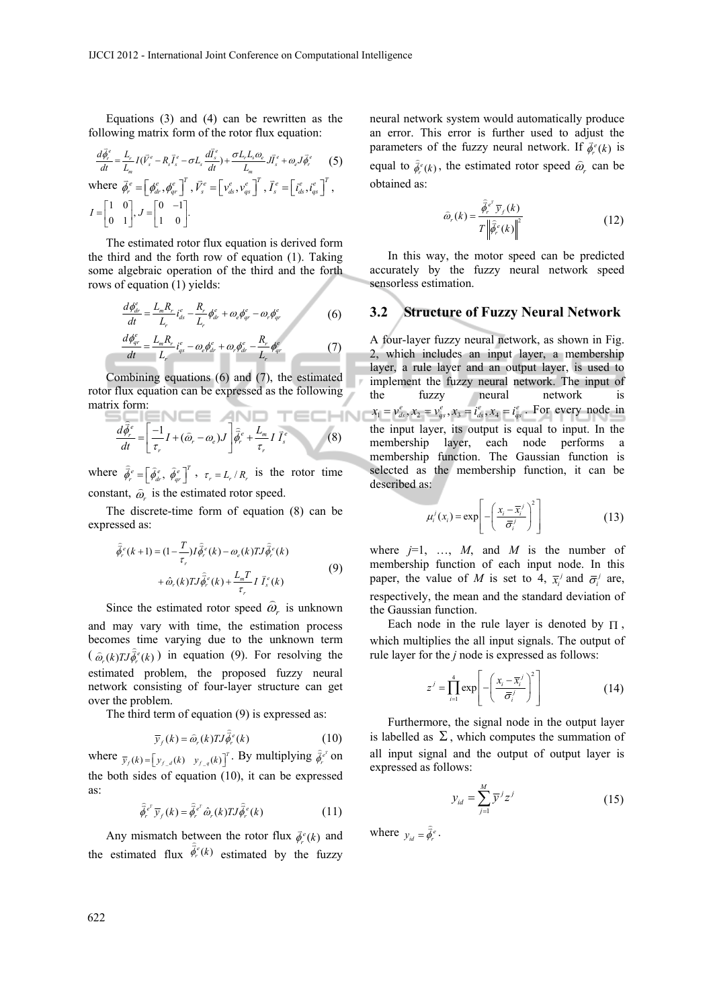Equations (3) and (4) can be rewritten as the following matrix form of the rotor flux equation:

$$
\frac{d\vec{\phi}_r^e}{dt} = \frac{L_r}{L_m} I(\vec{V}_s^e - R_s \vec{I}_s^e - \sigma L_s \frac{d\vec{I}_s^e}{dt}) + \frac{\sigma L_r L_s \omega_e}{L_m} J_s^e + \omega_e J \vec{\phi}_r^e \qquad (5)
$$
\n
$$
\text{where } \vec{\phi}_r^e = \left[\phi_{dr}^e, \phi_{qr}^e\right]^T, \vec{V}_s^e = \left[v_{ds}^e, v_{qs}^e\right]^T, \vec{I}_s^e = \left[i_{ds}^e, i_{qs}^e\right]^T,
$$
\n
$$
I = \begin{bmatrix} 1 & 0 \\ 0 & 1 \end{bmatrix}, J = \begin{bmatrix} 0 & -1 \\ 1 & 0 \end{bmatrix}.
$$

The estimated rotor flux equation is derived form the third and the forth row of equation (1). Taking some algebraic operation of the third and the forth rows of equation (1) yields:

$$
\frac{d\phi_{dr}^e}{dt} = \frac{L_m R_r}{L_r} i_{ds}^e - \frac{R_r}{L_r} \phi_{dr}^e + \omega_e \phi_{qr}^e - \omega_r \phi_{qr}^e \tag{6}
$$

$$
\frac{d\phi_{qr}^e}{dt} = \frac{L_m R_r}{L_r} i_{qs}^e - \omega_e \phi_{dr}^e + \omega_r \phi_{dr}^e - \frac{R_r}{L_r} \phi_{qr}^e \tag{7}
$$

Combining equations (6) and (7), the estimated rotor flux equation can be expressed as the following matrix form:

$$
\frac{d\hat{\phi}_r^e}{dt} = \left[\frac{-1}{\tau_r}I + (\hat{\omega}_r - \omega_e)J\right]\hat{\phi}_r^e + \frac{L_m}{\tau_r}I\,\vec{I}_s^e
$$
 (8)

where  $\hat{\phi}_r^e = \left[\hat{\phi}_{dr}^e, \hat{\phi}_{qr}^e\right]^T$ ,  $\tau_r = L_r / R_r$  is the rotor time constant,  $\hat{\omega}_r$  is the estimated rotor speed.

The discrete-time form of equation (8) can be expressed as:

$$
\hat{\phi}_r^e(k+1) = (1 - \frac{T}{\tau_r})I\hat{\phi}_r^e(k) - \omega_e(k)TI\hat{\phi}_r^e(k) \n+ \hat{\omega}_r(k)TI\hat{\phi}_r^e(k) + \frac{L_mT}{\tau_r}I\bar{I}_s^e(k)
$$
\n(9)

Since the estimated rotor speed  $\hat{\omega}_r$  is unknown and may vary with time, the estimation process becomes time varying due to the unknown term  $(\hat{\varphi}_r(k)TJ\hat{\phi}_r^e(k))$  in equation (9). For resolving the estimated problem, the proposed fuzzy neural network consisting of four-layer structure can get over the problem.

The third term of equation (9) is expressed as:

$$
\overline{y}_f(k) = \hat{\omega}_r(k) T J \hat{\phi}_r^e(k)
$$
 (10)

where  $\bar{y}_f(k) = \begin{bmatrix} y_{f,d}(k) & y_{f,g}(k) \end{bmatrix}^T$ . By multiplying  $\hat{\phi}_r^{\epsilon^T}$  on the both sides of equation (10), it can be expressed as:

$$
\hat{\vec{\phi}}_r^{\,e^r} \, \overline{y}_f(k) = \hat{\vec{\phi}}_r^{\,e^r} \hat{\omega}_r(k) T J \hat{\vec{\phi}}_r^{\,e}(k) \tag{11}
$$

Any mismatch between the rotor flux  $\vec{\phi}_r^e(k)$  and the estimated flux  $\hat{\phi}_r^e(k)$ estimated by the fuzzy neural network system would automatically produce an error. This error is further used to adjust the parameters of the fuzzy neural network. If  $\vec{\phi}_r^e(k)$  is equal to  $\hat{\phi}_r^{\epsilon}(k)$ , the estimated rotor speed  $\hat{\omega}_r$  can be obtained as:

$$
\widehat{\omega}_r(k) = \frac{\widehat{\partial}_r^{\,e^r} \,\overline{\mathbf{y}}_r(k)}{T \left\| \widehat{\phi}_r^{\,e}(k) \right\|^2} \tag{12}
$$

In this way, the motor speed can be predicted accurately by the fuzzy neural network speed sensorless estimation.

#### **3.2 Structure of Fuzzy Neural Network**

A four-layer fuzzy neural network, as shown in Fig. 2, which includes an input layer, a membership layer, a rule layer and an output layer, is used to implement the fuzzy neural network. The input of the fuzzy neural network is  $x_1 = v_{ds}^e, x_2 = v_{gs}^e, x_3 = i_{ds}^e, x_4 = i_{gs}^e$ . For every node in the input layer, its output is equal to input. In the membership layer, each node performs a membership function. The Gaussian function is selected as the membership function, it can be described as:

$$
\mu_i^j(x_i) = \exp\left[-\left(\frac{x_i - \overline{x}_i^j}{\overline{\sigma}_i^j}\right)^2\right]
$$
(13)

where  $j=1$ , ..., M, and M is the number of membership function of each input node. In this paper, the value of *M* is set to 4,  $\bar{x}_i^j$  and  $\bar{\sigma}_i^j$  are, respectively, the mean and the standard deviation of the Gaussian function.

Each node in the rule layer is denoted by  $\Pi$ , which multiplies the all input signals. The output of rule layer for the *j* node is expressed as follows:

$$
z^{j} = \prod_{i=1}^{4} \exp\left[-\left(\frac{x_{i} - \overline{x}_{i}^{j}}{\overline{\sigma}_{i}^{j}}\right)^{2}\right]
$$
(14)

Furthermore, the signal node in the output layer is labelled as  $\Sigma$ , which computes the summation of all input signal and the output of output layer is expressed as follows:

$$
y_{id} = \sum_{j=1}^{M} \overline{y}^{j} z^{j}
$$
 (15)

where  $y_{id} = \hat{\vec{\phi}}_r^e$ .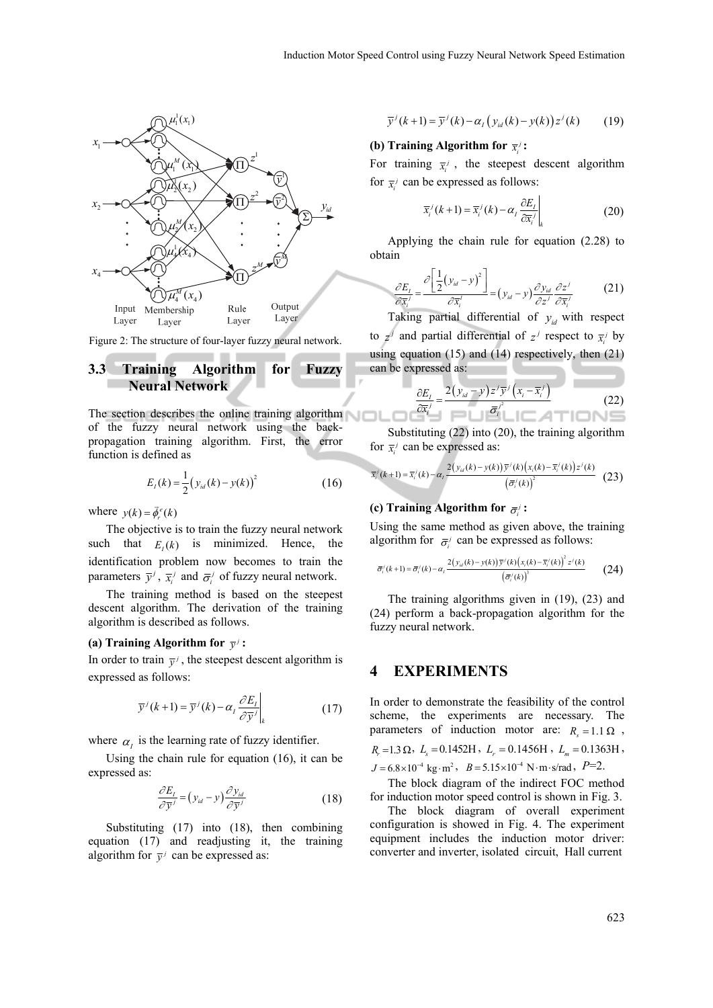

Figure 2: The structure of four-layer fuzzy neural network.

## **3.3 Training Algorithm for Fuzzy Neural Network**

The section describes the online training algorithm of the fuzzy neural network using the backpropagation training algorithm. First, the error function is defined as

$$
E_I(k) = \frac{1}{2} (y_{id}(k) - y(k))^2
$$
 (16)

where  $y(k) = \vec{\phi}_r^e(k)$ 

The objective is to train the fuzzy neural network such that  $E_k(k)$  is minimized. Hence, the identification problem now becomes to train the parameters  $\bar{y}^j$ ,  $\bar{x}_i^j$  and  $\bar{\sigma}_i^j$  of fuzzy neural network.

The training method is based on the steepest descent algorithm. The derivation of the training algorithm is described as follows.

#### **(a) Training Algorithm for**  $\bar{v}$  :

In order to train  $\bar{y}^j$ , the steepest descent algorithm is expressed as follows:

$$
\overline{y}^{j}(k+1) = \overline{y}^{j}(k) - \alpha_{j} \frac{\partial E_{j}}{\partial \overline{y}^{j}}\bigg|_{k}
$$
 (17)

where  $\alpha_i$  is the learning rate of fuzzy identifier.

Using the chain rule for equation (16), it can be expressed as:

$$
\frac{\partial E_I}{\partial \bar{y}^j} = (y_{id} - y) \frac{\partial y_{id}}{\partial \bar{y}^j}
$$
(18)

Substituting (17) into (18), then combining equation (17) and readjusting it, the training algorithm for  $\overline{y}$  can be expressed as:

$$
\overline{y}^{j}(k+1) = \overline{y}^{j}(k) - \alpha_{j}\left(y_{id}(k) - y(k)\right)z^{j}(k) \qquad (19)
$$

## **(b) Training Algorithm for**  $\overline{x_i}$ **:**

For training  $\bar{x}^j$ , the steepest descent algorithm for  $\bar{x}$ <sup>*i*</sup> can be expressed as follows:

$$
\overline{x}_{i}^{j}(k+1) = \overline{x}_{i}^{j}(k) - \alpha_{I} \frac{\partial E_{I}}{\partial \overline{x}_{i}^{j}}\bigg|_{k}
$$
\n(20)

Applying the chain rule for equation (2.28) to obtain

$$
\frac{\partial E_i}{\partial \overline{x'_i}} = \frac{\partial \left[ \frac{1}{2} (y_{id} - y)^2 \right]}{\partial \overline{x'_i}} = (y_{id} - y) \frac{\partial y_{id}}{\partial z^j} \frac{\partial z^j}{\partial \overline{x'_i}}
$$
(21)

Taking partial differential of  $y_{id}$  with respect to  $z^j$  and partial differential of  $z^j$  respect to  $\overline{x}^j$  by using equation (15) and  $(\overline{14})$  respectively, then (21) can be expressed as:

$$
\frac{\partial E_i}{\partial \overline{x}_i^j} = \frac{2(y_{id} - y)z^j \overline{y}^j (x_i - \overline{x}_i^j)}{\overline{\sigma}_i^j}
$$
(22)

Substituting (22) into (20), the training algorithm for  $\overline{x}$ <sup>*i*</sup> can be expressed as:

$$
\overline{x}_{i}^j(k+1) = \overline{x}_{i}^j(k) - \alpha_i \frac{2(y_{id}(k) - y(k))\overline{y}^j(k)(x_i(k) - \overline{x}_i^j(k))z^j(k)}{\left(\overline{\sigma}_{i}^j(k)\right)^2} (23)
$$

### **(c) Training Algorithm for**  $\bar{\sigma}$ **:**

Using the same method as given above, the training algorithm for  $\bar{\sigma}$  can be expressed as follows:

$$
\bar{\sigma}_{i}^{\prime}(k+1) = \bar{\sigma}_{i}^{\prime}(k) - \alpha_{i} \frac{2(y_{id}(k) - y(k))\bar{y}^{\prime}(k)\left(x_{i}(k) - \bar{x}_{i}^{\prime}(k)\right)^{2} z^{\prime}(k)}{\left(\bar{\sigma}_{i}^{\prime}(k)\right)^{3}}
$$
(24)

The training algorithms given in (19), (23) and (24) perform a back-propagation algorithm for the fuzzy neural network.

## **4 EXPERIMENTS**

In order to demonstrate the feasibility of the control scheme, the experiments are necessary. The parameters of induction motor are:  $R_{\text{S}} = 1.1 \Omega$ ,  $R_r = 1.3 \Omega$ ,  $L_s = 0.1452H$ ,  $L_r = 0.1456H$ ,  $L_m = 0.1363H$ ,  $J = 6.8 \times 10^{-4}$  kg·m<sup>2</sup>,  $B = 5.15 \times 10^{-4}$  N·m·s/rad,  $P=2$ . The block diagram of the indirect FOC method

for induction motor speed control is shown in Fig. 3.

The block diagram of overall experiment configuration is showed in Fig. 4. The experiment equipment includes the induction motor driver: converter and inverter, isolated circuit, Hall current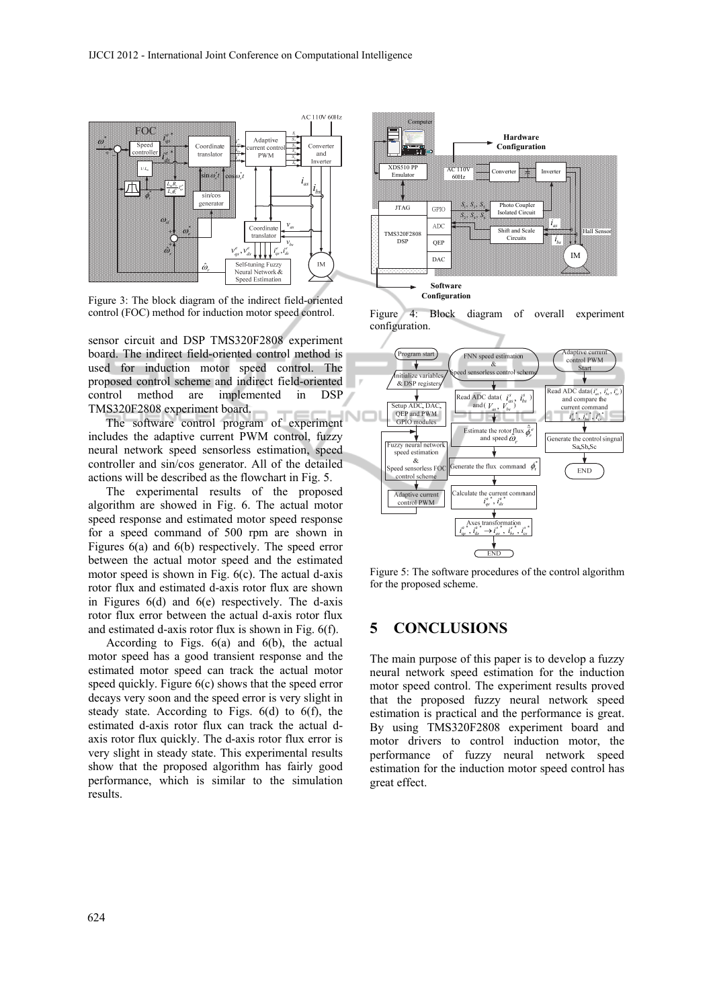

Figure 3: The block diagram of the indirect field-oriented control (FOC) method for induction motor speed control.

sensor circuit and DSP TMS320F2808 experiment board. The indirect field-oriented control method is used for induction motor speed control. The proposed control scheme and indirect field-oriented control method are implemented in DSP TMS320F2808 experiment board.

The software control program of experiment includes the adaptive current PWM control, fuzzy neural network speed sensorless estimation, speed controller and sin/cos generator. All of the detailed actions will be described as the flowchart in Fig. 5.

The experimental results of the proposed algorithm are showed in Fig. 6. The actual motor speed response and estimated motor speed response for a speed command of 500 rpm are shown in Figures 6(a) and 6(b) respectively. The speed error between the actual motor speed and the estimated motor speed is shown in Fig. 6(c). The actual d-axis rotor flux and estimated d-axis rotor flux are shown in Figures 6(d) and 6(e) respectively. The d-axis rotor flux error between the actual d-axis rotor flux and estimated d-axis rotor flux is shown in Fig. 6(f).

According to Figs. 6(a) and 6(b), the actual motor speed has a good transient response and the estimated motor speed can track the actual motor speed quickly. Figure 6(c) shows that the speed error decays very soon and the speed error is very slight in steady state. According to Figs. 6(d) to 6(f), the estimated d-axis rotor flux can track the actual daxis rotor flux quickly. The d-axis rotor flux error is very slight in steady state. This experimental results show that the proposed algorithm has fairly good performance, which is similar to the simulation results.



Figure 4: Block diagram of overall experiment configuration.



Figure 5: The software procedures of the control algorithm for the proposed scheme.

# **5 CONCLUSIONS**

The main purpose of this paper is to develop a fuzzy neural network speed estimation for the induction motor speed control. The experiment results proved that the proposed fuzzy neural network speed estimation is practical and the performance is great. By using TMS320F2808 experiment board and motor drivers to control induction motor, the performance of fuzzy neural network speed estimation for the induction motor speed control has great effect.